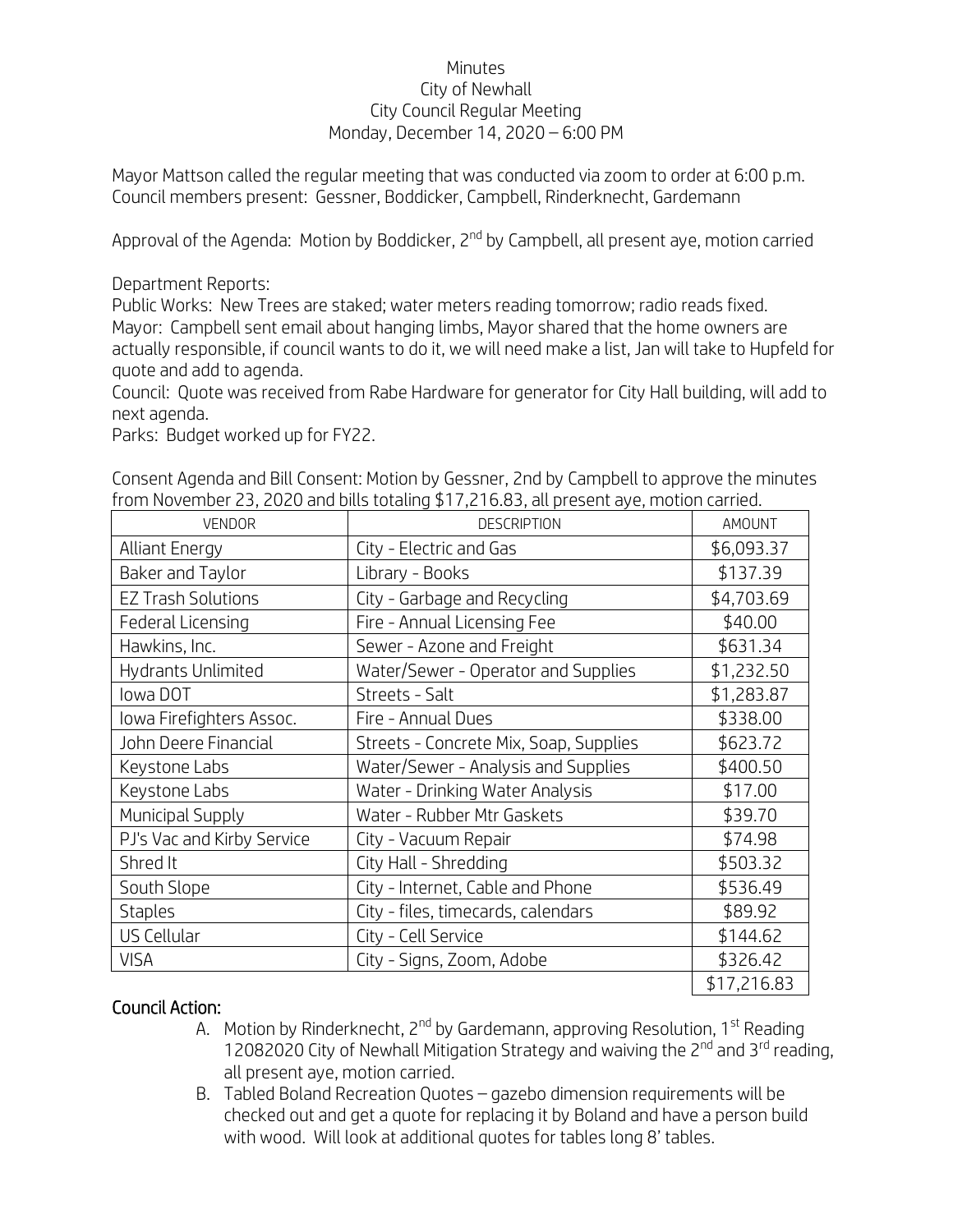## Minutes City of Newhall City Council Regular Meeting Monday, December 14, 2020 – 6:00 PM

Mayor Mattson called the regular meeting that was conducted via zoom to order at 6:00 p.m. Council members present: Gessner, Boddicker, Campbell, Rinderknecht, Gardemann

Approval of the Agenda: Motion by Boddicker, 2<sup>nd</sup> by Campbell, all present aye, motion carried

Department Reports:

Public Works: New Trees are staked; water meters reading tomorrow; radio reads fixed. Mayor: Campbell sent email about hanging limbs, Mayor shared that the home owners are actually responsible, if council wants to do it, we will need make a list, Jan will take to Hupfeld for quote and add to agenda.

Council: Quote was received from Rabe Hardware for generator for City Hall building, will add to next agenda.

Parks: Budget worked up for FY22.

| ווטווו וזטעפוווטפו בא, בטבט מווט טונוא נטנמוווט 11,7 ו ט.ס.א, מנו preservice aye, וווטנוטוו נמודופט. |                                        |             |
|------------------------------------------------------------------------------------------------------|----------------------------------------|-------------|
| VENDOR                                                                                               | <b>DESCRIPTION</b>                     | AMOUNT      |
| <b>Alliant Energy</b>                                                                                | City - Electric and Gas                | \$6,093.37  |
| Baker and Taylor                                                                                     | Library - Books                        | \$137.39    |
| <b>EZ Trash Solutions</b>                                                                            | City - Garbage and Recycling           | \$4,703.69  |
| Federal Licensing                                                                                    | Fire - Annual Licensing Fee            | \$40.00     |
| Hawkins, Inc.                                                                                        | Sewer - Azone and Freight              | \$631.34    |
| Hydrants Unlimited                                                                                   | Water/Sewer - Operator and Supplies    | \$1,232.50  |
| lowa DOT                                                                                             | Streets - Salt                         | \$1,283.87  |
| Iowa Firefighters Assoc.                                                                             | Fire - Annual Dues                     | \$338.00    |
| John Deere Financial                                                                                 | Streets - Concrete Mix, Soap, Supplies | \$623.72    |
| Keystone Labs                                                                                        | Water/Sewer - Analysis and Supplies    | \$400.50    |
| Keystone Labs                                                                                        | Water - Drinking Water Analysis        | \$17.00     |
| Municipal Supply                                                                                     | Water - Rubber Mtr Gaskets             | \$39.70     |
| PJ's Vac and Kirby Service                                                                           | City - Vacuum Repair                   | \$74.98     |
| Shred It                                                                                             | City Hall - Shredding                  | \$503.32    |
| South Slope                                                                                          | City - Internet, Cable and Phone       | \$536.49    |
| <b>Staples</b>                                                                                       | City - files, timecards, calendars     | \$89.92     |
| US Cellular                                                                                          | City - Cell Service                    | \$144.62    |
| <b>VISA</b>                                                                                          | City - Signs, Zoom, Adobe              | \$326.42    |
|                                                                                                      |                                        | \$17,216.83 |

Consent Agenda and Bill Consent: Motion by Gessner, 2nd by Campbell to approve the minutes from November 23, 2020 and bills totaling \$17,216.83, all present aye, motion carried.

## Council Action:

- A. Motion by Rinderknecht, 2<sup>nd</sup> by Gardemann, approving Resolution, 1<sup>st</sup> Reading 12082020 City of Newhall Mitigation Strategy and waiving the  $2^{nd}$  and  $3^{rd}$  reading. all present aye, motion carried.
- B. Tabled Boland Recreation Quotes gazebo dimension requirements will be checked out and get a quote for replacing it by Boland and have a person build with wood. Will look at additional quotes for tables long 8' tables.